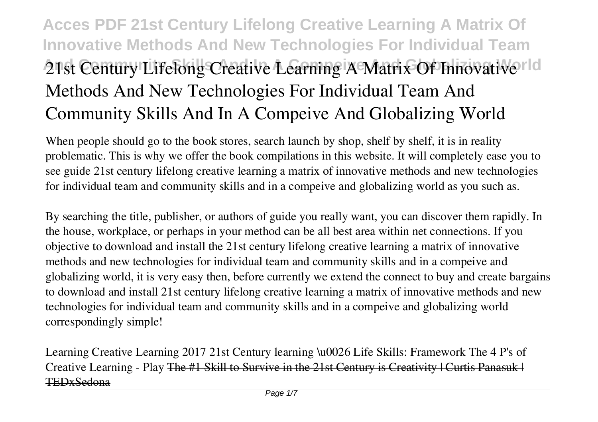# **Acces PDF 21st Century Lifelong Creative Learning A Matrix Of Innovative Methods And New Technologies For Individual Team 21st Century Lifelong Creative Learning A Matrix Of Innovative rld Methods And New Technologies For Individual Team And Community Skills And In A Compeive And Globalizing World**

When people should go to the book stores, search launch by shop, shelf by shelf, it is in reality problematic. This is why we offer the book compilations in this website. It will completely ease you to see guide **21st century lifelong creative learning a matrix of innovative methods and new technologies for individual team and community skills and in a compeive and globalizing world** as you such as.

By searching the title, publisher, or authors of guide you really want, you can discover them rapidly. In the house, workplace, or perhaps in your method can be all best area within net connections. If you objective to download and install the 21st century lifelong creative learning a matrix of innovative methods and new technologies for individual team and community skills and in a compeive and globalizing world, it is very easy then, before currently we extend the connect to buy and create bargains to download and install 21st century lifelong creative learning a matrix of innovative methods and new technologies for individual team and community skills and in a compeive and globalizing world correspondingly simple!

Learning Creative Learning 2017 *21st Century learning \u0026 Life Skills: Framework The 4 P's of Creative Learning - Play* The #1 Skill to Survive in the 21st Century is Creativity | Curtis Panasuk | TEDxSedona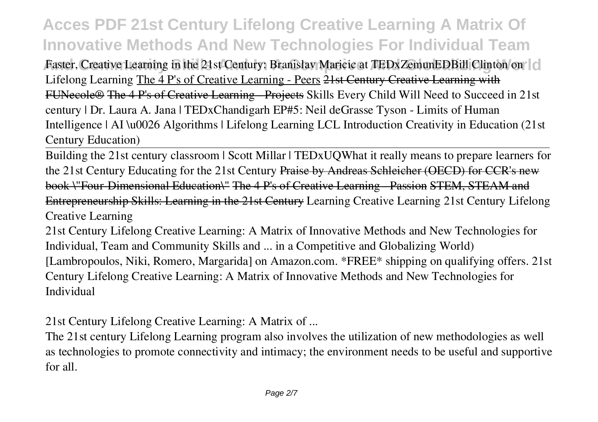## **Acces PDF 21st Century Lifelong Creative Learning A Matrix Of Innovative Methods And New Technologies For Individual Team**

Faster, Creative Learning in the 21st Century: Branislav Maricic at TEDxZemunEDBill Clinton on<sup>-1</sup>cl **Lifelong Learning** The 4 P's of Creative Learning - Peers 21st Century Creative Learning with FUNecole<sup>®</sup> The 4 P's of Creative Learning Projects Skills Every Child Will Need to Succeed in 21st century | Dr. Laura A. Jana | TEDxChandigarh **EP#5: Neil deGrasse Tyson - Limits of Human Intelligence | AI \u0026 Algorithms | Lifelong Learning** *LCL Introduction Creativity in Education (21st Century Education)*

Building the 21st century classroom | Scott Millar | TEDxUQ*What it really means to prepare learners for the 21st Century* **Educating for the 21st Century** Praise by Andreas Schleicher (OECD) for CCR's new book \"Four-Dimensional Education\" The 4 P's of Creative Learning - Passion STEM, STEAM and Entrepreneurship Skills: Learning in the 21st Century **Learning Creative Learning** *21st Century Lifelong Creative Learning*

21st Century Lifelong Creative Learning: A Matrix of Innovative Methods and New Technologies for Individual, Team and Community Skills and ... in a Competitive and Globalizing World) [Lambropoulos, Niki, Romero, Margarida] on Amazon.com. \*FREE\* shipping on qualifying offers. 21st Century Lifelong Creative Learning: A Matrix of Innovative Methods and New Technologies for Individual

*21st Century Lifelong Creative Learning: A Matrix of ...*

The 21st century Lifelong Learning program also involves the utilization of new methodologies as well as technologies to promote connectivity and intimacy; the environment needs to be useful and supportive for all.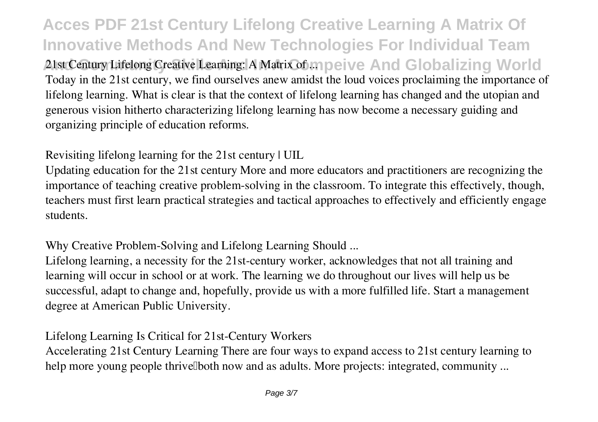**Acces PDF 21st Century Lifelong Creative Learning A Matrix Of Innovative Methods And New Technologies For Individual Team And Community Skills And In A Compeive And Globalizing World** *21st Century Lifelong Creative Learning: A Matrix of ...* Today in the 21st century, we find ourselves anew amidst the loud voices proclaiming the importance of lifelong learning. What is clear is that the context of lifelong learning has changed and the utopian and generous vision hitherto characterizing lifelong learning has now become a necessary guiding and organizing principle of education reforms.

*Revisiting lifelong learning for the 21st century | UIL*

Updating education for the 21st century More and more educators and practitioners are recognizing the importance of teaching creative problem-solving in the classroom. To integrate this effectively, though, teachers must first learn practical strategies and tactical approaches to effectively and efficiently engage students.

*Why Creative Problem-Solving and Lifelong Learning Should ...*

Lifelong learning, a necessity for the 21st-century worker, acknowledges that not all training and learning will occur in school or at work. The learning we do throughout our lives will help us be successful, adapt to change and, hopefully, provide us with a more fulfilled life. Start a management degree at American Public University.

*Lifelong Learning Is Critical for 21st-Century Workers*

Accelerating 21st Century Learning There are four ways to expand access to 21st century learning to help more young people thrive Doth now and as adults. More projects: integrated, community ...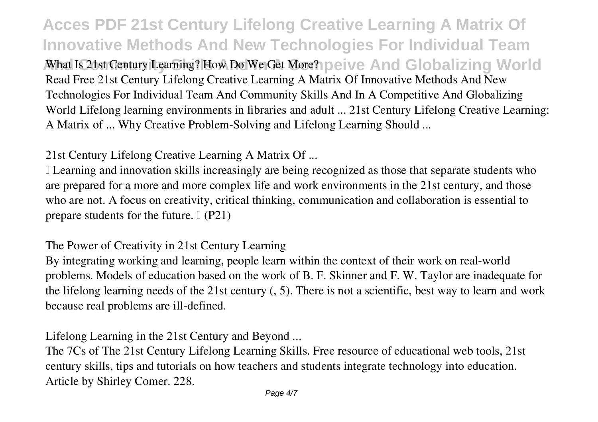**Acces PDF 21st Century Lifelong Creative Learning A Matrix Of Innovative Methods And New Technologies For Individual Team And Is 21st Century Learning? How Do We Get More? Deive And Globalizing World** Read Free 21st Century Lifelong Creative Learning A Matrix Of Innovative Methods And New Technologies For Individual Team And Community Skills And In A Competitive And Globalizing World Lifelong learning environments in libraries and adult ... 21st Century Lifelong Creative Learning: A Matrix of ... Why Creative Problem-Solving and Lifelong Learning Should ...

*21st Century Lifelong Creative Learning A Matrix Of ...*

If Learning and innovation skills increasingly are being recognized as those that separate students who are prepared for a more and more complex life and work environments in the 21st century, and those who are not. A focus on creativity, critical thinking, communication and collaboration is essential to prepare students for the future.  $\mathbb{I}$  (P21)

*The Power of Creativity in 21st Century Learning*

By integrating working and learning, people learn within the context of their work on real-world problems. Models of education based on the work of B. F. Skinner and F. W. Taylor are inadequate for the lifelong learning needs of the 21st century (, 5). There is not a scientific, best way to learn and work because real problems are ill-defined.

*Lifelong Learning in the 21st Century and Beyond ...*

The 7Cs of The 21st Century Lifelong Learning Skills. Free resource of educational web tools, 21st century skills, tips and tutorials on how teachers and students integrate technology into education. Article by Shirley Comer. 228.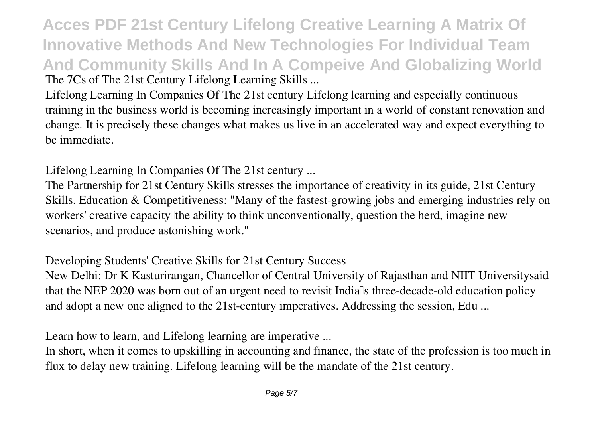**Acces PDF 21st Century Lifelong Creative Learning A Matrix Of Innovative Methods And New Technologies For Individual Team And Community Skills And In A Compeive And Globalizing World** *The 7Cs of The 21st Century Lifelong Learning Skills ...*

Lifelong Learning In Companies Of The 21st century Lifelong learning and especially continuous training in the business world is becoming increasingly important in a world of constant renovation and change. It is precisely these changes what makes us live in an accelerated way and expect everything to be immediate.

*Lifelong Learning In Companies Of The 21st century ...*

The Partnership for 21st Century Skills stresses the importance of creativity in its guide, 21st Century Skills, Education & Competitiveness: "Many of the fastest-growing jobs and emerging industries rely on workers' creative capacity the ability to think unconventionally, question the herd, imagine new scenarios, and produce astonishing work."

*Developing Students' Creative Skills for 21st Century Success*

New Delhi: Dr K Kasturirangan, Chancellor of Central University of Rajasthan and NIIT Universitysaid that the NEP 2020 was born out of an urgent need to revisit Indialls three-decade-old education policy and adopt a new one aligned to the 21st-century imperatives. Addressing the session, Edu ...

*Learn how to learn, and Lifelong learning are imperative ...*

In short, when it comes to upskilling in accounting and finance, the state of the profession is too much in flux to delay new training. Lifelong learning will be the mandate of the 21st century.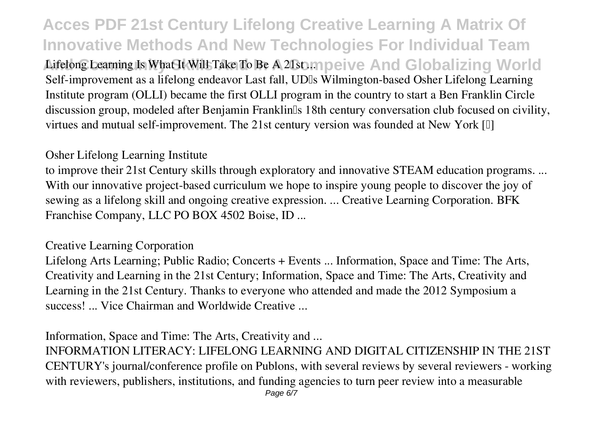**Acces PDF 21st Century Lifelong Creative Learning A Matrix Of Innovative Methods And New Technologies For Individual Team** Lifelong Learning Is What It Will Take To Be A 21st ... no eive And Globalizing World Self-improvement as a lifelong endeavor Last fall, UDIs Wilmington-based Osher Lifelong Learning Institute program (OLLI) became the first OLLI program in the country to start a Ben Franklin Circle discussion group, modeled after Benjamin Franklin<sup>[5]</sup> 18th century conversation club focused on civility, virtues and mutual self-improvement. The 21st century version was founded at New York [I]

#### *Osher Lifelong Learning Institute*

to improve their 21st Century skills through exploratory and innovative STEAM education programs. ... With our innovative project-based curriculum we hope to inspire young people to discover the joy of sewing as a lifelong skill and ongoing creative expression. ... Creative Learning Corporation. BFK Franchise Company, LLC PO BOX 4502 Boise, ID ...

#### *Creative Learning Corporation*

Lifelong Arts Learning; Public Radio; Concerts + Events ... Information, Space and Time: The Arts, Creativity and Learning in the 21st Century; Information, Space and Time: The Arts, Creativity and Learning in the 21st Century. Thanks to everyone who attended and made the 2012 Symposium a success! ... Vice Chairman and Worldwide Creative ...

*Information, Space and Time: The Arts, Creativity and ...*

INFORMATION LITERACY: LIFELONG LEARNING AND DIGITAL CITIZENSHIP IN THE 21ST CENTURY's journal/conference profile on Publons, with several reviews by several reviewers - working with reviewers, publishers, institutions, and funding agencies to turn peer review into a measurable